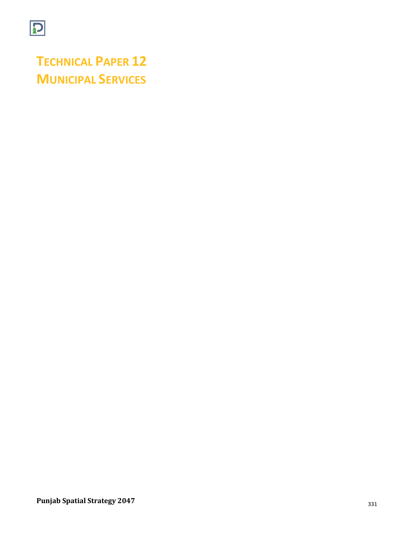

**TECHNICAL PAPER 12 MUNICIPAL SERVICES**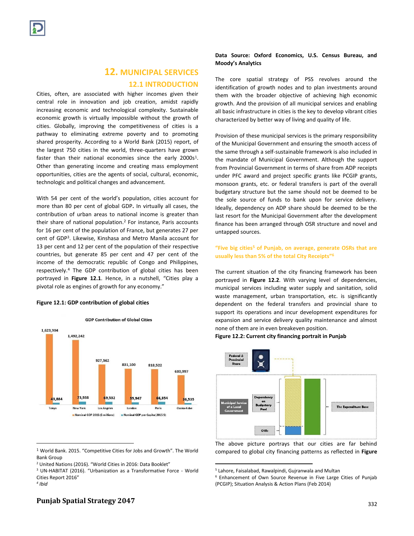# **12. MUNICIPAL SERVICES**

## **12.1 INTRODUCTION**

Cities, often, are associated with higher incomes given their central role in innovation and job creation, amidst rapidly increasing economic and technological complexity. Sustainable economic growth is virtually impossible without the growth of cities. Globally, improving the competitiveness of cities is a pathway to eliminating extreme poverty and to promoting shared prosperity. According to a World Bank (2015) report, of the largest 750 cities in the world, three-quarters have grown faster than their national economies since the early  $2000s<sup>1</sup>$ . Other than generating income and creating mass employment opportunities, cities are the agents of social, cultural, economic, technologic and political changes and advancement.

With 54 per cent of the world's population, cities account for more than 80 per cent of global GDP**.** In virtually all cases, the contribution of urban areas to national income is greater than their share of national population.<sup>2</sup> For instance, Paris accounts for 16 per cent of the population of France, but generates 27 per cent of GDP<sup>3</sup> . Likewise, Kinshasa and Metro Manila account for 13 per cent and 12 per cent of the population of their respective countries, but generate 85 per cent and 47 per cent of the income of the democratic republic of Congo and Philippines, respectively.<sup>4</sup> The GDP contribution of global cities has been portrayed in **Figure 12.1**. Hence, in a nutshell, "Cities play a pivotal role as engines of growth for any economy."

#### **Figure 12.1: GDP contribution of global cities**



<sup>1</sup> World Bank. 2015. "Competitive Cities for Jobs and Growth". The World Bank Group

 $\overline{\phantom{a}}$ 

**Data Source: Oxford Economics, U.S. Census Bureau, and Moody's Analytics**

The core spatial strategy of PSS revolves around the identification of growth nodes and to plan investments around them with the broader objective of achieving high economic growth. And the provision of all municipal services and enabling all basic infrastructure in cities is the key to develop vibrant cities characterized by better way of living and quality of life.

Provision of these municipal services is the primary responsibility of the Municipal Government and ensuring the smooth access of the same through a self-sustainable framework is also included in the mandate of Municipal Government. Although the support from Provincial Government in terms of share from ADP receipts under PFC award and project specific grants like PCGIP grants, monsoon grants, etc. or federal transfers is part of the overall budgetary structure but the same should not be deemed to be the sole source of funds to bank upon for service delivery. Ideally, dependency on ADP share should be deemed to be the last resort for the Municipal Government after the development finance has been arranged through OSR structure and novel and untapped sources.

## **"Five big cities<sup>5</sup> of Punjab, on average, generate OSRs that are usually less than 5% of the total City Receipts"<sup>6</sup>**

The current situation of the city financing framework has been portrayed in **Figure 12.2**. With varying level of dependencies, municipal services including water supply and sanitation, solid waste management, urban transportation, etc. is significantly dependent on the federal transfers and provincial share to support its operations and incur development expenditures for expansion and service delivery quality maintenance and almost none of them are in even breakeven position.

### **Figure 12.2: Current city financing portrait in Punjab**



The above picture portrays that our cities are far behind compared to global city financing patterns as reflected in **Figure** 

 $\overline{a}$ 

# **Punjab Spatial Strategy 2047** 332

<sup>&</sup>lt;sup>2</sup> United Nations (2016). "World Cities in 2016: Data Booklet"

<sup>3</sup> UN-HABITAT (2016). "Urbanization as a Transformative Force - World Cities Report 2016"

*<sup>4</sup> Ibid*

<sup>5</sup> Lahore, Faisalabad, Rawalpindi, Gujranwala and Multan

<sup>6</sup> Enhancement of Own Source Revenue in Five Large Cities of Punjab (PCGIP); Situation Analysis & Action Plans (Feb 2014)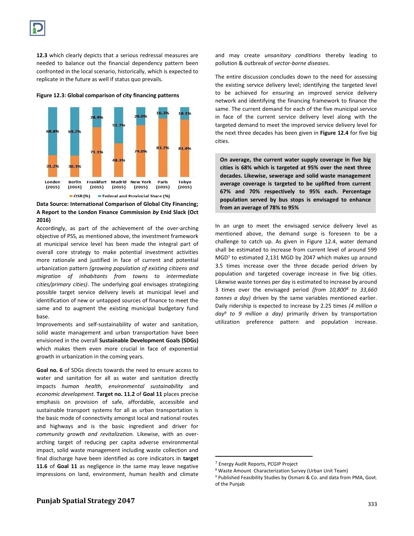**12.3** which clearly depicts that a serious redressal measures are needed to balance out the financial dependency pattern been confronted in the local scenario, historically, which is expected to replicate in the future as well if status quo prevails.



**Figure 12.3: Global comparison of city financing patterns**

**Data Source: International Comparison of Global City Financing; A Report to the London Finance Commission** *by* **Enid Slack (Oct 2016)**

Accordingly, as part of the achievement of the over-arching objective of PSS, as mentioned above, the investment framework at municipal service level has been made the integral part of overall core strategy to make potential investment activities more rationale and justified in face of current and potential urbanization pattern *(growing population of existing citizens and migration of inhabitants from towns to intermediate cities/primary cities)*. The underlying goal envisages strategizing possible target service delivery levels at municipal level and identification of new or untapped sources of finance to meet the same and to augment the existing municipal budgetary fund base.

Improvements and self-sustainability of water and sanitation, solid waste management and urban transportation have been envisioned in the overall **Sustainable Development Goals (SDGs)** which makes them even more crucial in face of exponential growth in urbanization in the coming years.

**Goal no. 6** of SDGs directs towards the need to ensure access to water and sanitation for all as water and sanitation directly impacts *human health*, *environmental sustainability* and *economic development.* **Target no. 11.2** of **Goal 11** places precise emphasis on provision of safe, affordable, accessible and sustainable transport systems for all as urban transportation is the basic mode of connectivity amongst local and national routes and highways and is the basic ingredient and driver for *community growth and revitalization.* Likewise, with an overarching target of reducing per capita adverse environmental impact, solid waste management including waste collection and final discharge have been identified as core indicators in **target 11.6** of **Goal 11** as negligence in the same may leave negative impressions on land, environment, human health and climate and may create *unsanitary conditions* thereby leading to pollution & outbreak of *vector-borne diseases*.

The entire discussion concludes down to the need for assessing the existing service delivery level; identifying the targeted level to be achieved for ensuring an improved service delivery network and identifying the financing framework to finance the same. The current demand for each of the five municipal service in face of the current service delivery level along with the targeted demand to meet the improved service delivery level for the next three decades has been given in **Figure 12.4** for five big cities.

**On average, the current water supply coverage in five big cities is 68% which is targeted at 95% over the next three decades. Likewise, sewerage and solid waste management average coverage is targeted to be uplifted from current 67% and 70% respectively to 95% each. Percentage population served by bus stops is envisaged to enhance from an average of 78% to 95%** 

In an urge to meet the envisaged service delivery level as mentioned above, the demand surge is foreseen to be a challenge to catch up. As given in Figure 12.4, water demand shall be estimated to increase from current level of around 599 MGD<sup>7</sup> to estimated 2,131 MGD by 2047 which makes up around 3.5 times increase over the three decade period driven by population and targeted coverage increase in five big cities. Likewise waste tonnes per day is estimated to increase by around 3 times over the envisaged period *(from 10,800<sup>8</sup> to 33,660 tonnes a day)* driven by the same variables mentioned earlier. Daily ridership is expected to increase by 2.25 times *(4 million a day<sup>9</sup> to 9 million a day)* primarily driven by transportation utilization preference pattern and population increase.

 $\overline{\phantom{a}}$ 

<sup>7</sup> Energy Audit Reports, PCGIP Project

<sup>8</sup> Waste Amount Characterization Survey (Urban Unit Team)

<sup>&</sup>lt;sup>9</sup> Published Feasibility Studies by Osmani & Co. and data from PMA, Govt. of the Punjab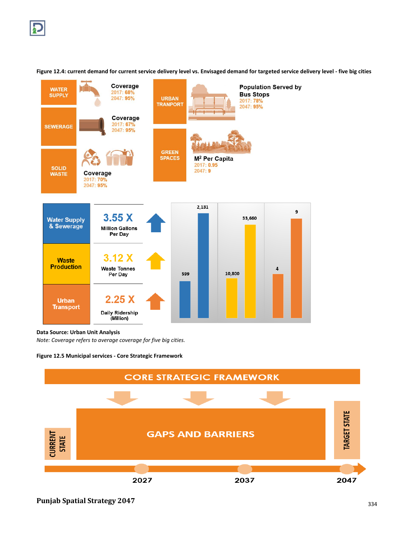

**Figure 12.4: current demand for current service delivery level vs. Envisaged demand for targeted service delivery level - five big cities** 

### **Data Source: Urban Unit Analysis**

*Note: Coverage refers to average coverage for five big cities.*



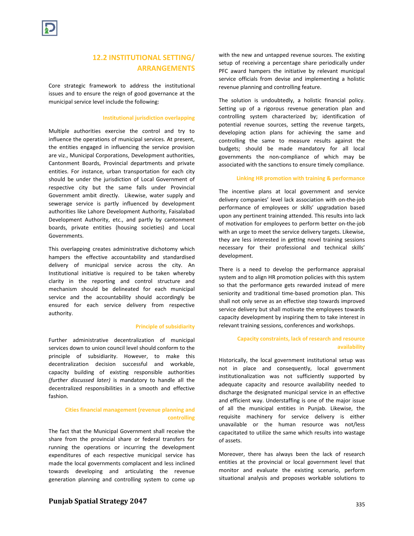# **12.2 INSTITUTIONAL SETTING/ ARRANGEMENTS**

Core strategic framework to address the institutional issues and to ensure the reign of good governance at the municipal service level include the following:

#### **Institutional jurisdiction overlapping**

Multiple authorities exercise the control and try to influence the operations of municipal services. At present, the entities engaged in influencing the service provision are viz., Municipal Corporations, Development authorities, Cantonment Boards, Provincial departments and private entities. For instance, urban transportation for each city should be under the jurisdiction of Local Government of respective city but the same falls under Provincial Government ambit directly. Likewise, water supply and sewerage service is partly influenced by development authorities like Lahore Development Authority, Faisalabad Development Authority, etc., and partly by cantonment boards, private entities (housing societies) and Local Governments.

This overlapping creates administrative dichotomy which hampers the effective accountability and standardised delivery of municipal service across the city. An Institutional initiative is required to be taken whereby clarity in the reporting and control structure and mechanism should be delineated for each municipal service and the accountability should accordingly be ensured for each service delivery from respective authority.

#### **Principle of subsidiarity**

Further administrative decentralization of municipal services down to union council level should conform to the principle of subsidiarity. However, to make this decentralization decision successful and workable, capacity building of existing responsible authorities *(further discussed later)* is mandatory to handle all the decentralized responsibilities in a smooth and effective fashion.

## **Cities financial management (revenue planning and controlling**

The fact that the Municipal Government shall receive the share from the provincial share or federal transfers for running the operations or incurring the development expenditures of each respective municipal service has made the local governments complacent and less inclined towards developing and articulating the revenue generation planning and controlling system to come up with the new and untapped revenue sources. The existing setup of receiving a percentage share periodically under PFC award hampers the initiative by relevant municipal service officials from devise and implementing a holistic revenue planning and controlling feature.

The solution is undoubtedly, a holistic financial policy. Setting up of a rigorous revenue generation plan and controlling system characterized by; identification of potential revenue sources, setting the revenue targets, developing action plans for achieving the same and controlling the same to measure results against the budgets; should be made mandatory for all local governments the non-compliance of which may be associated with the sanctions to ensure timely compliance.

#### **Linking HR promotion with training & performance**

The incentive plans at local government and service delivery companies' level lack association with on-the-job performance of employees or skills' upgradation based upon any pertinent training attended. This results into lack of motivation for employees to perform better on-the-job with an urge to meet the service delivery targets. Likewise, they are less interested in getting novel training sessions necessary for their professional and technical skills' development.

There is a need to develop the performance appraisal system and to align HR promotion policies with this system so that the performance gets rewarded instead of mere seniority and traditional time-based promotion plan. This shall not only serve as an effective step towards improved service delivery but shall motivate the employees towards capacity development by inspiring them to take interest in relevant training sessions, conferences and workshops.

### **Capacity constraints, lack of research and resource availability**

Historically, the local government institutional setup was not in place and consequently, local government institutionalization was not sufficiently supported by adequate capacity and resource availability needed to discharge the designated municipal service in an effective and efficient way. Understaffing is one of the major issue of all the municipal entities in Punjab. Likewise, the requisite machinery for service delivery is either unavailable or the human resource was not/less capacitated to utilize the same which results into wastage of assets.

Moreover, there has always been the lack of research entities at the provincial or local government level that monitor and evaluate the existing scenario, perform situational analysis and proposes workable solutions to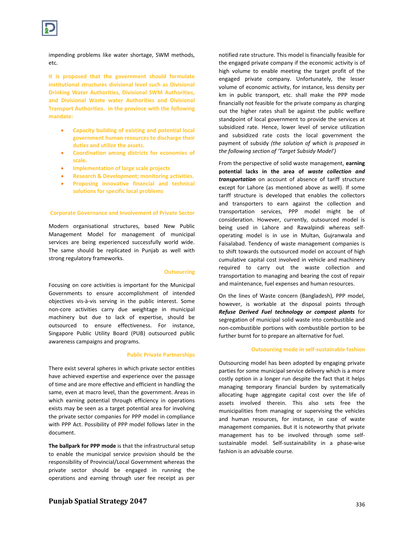

impending problems like water shortage, SWM methods, etc.

**It is proposed that the government should formulate institutional structures divisional level such as Divisional Drinking Water Authorities, Divisional SWM Authorities, and Divisional Waste water Authorities and Divisional Transport Authorities. in the province with the following mandate:**

- **Capacity building of existing and potential local government human resources to discharge their duties and utilize the assets.**
- **Coordination among districts for economies of scale.**
- **Implementation of large scale projects**
- **Research & Development; monitoring activities.**
- **Proposing innovative financial and technical solutions for specific local problems**

#### **Corporate Governance and Involvement of Private Sector**

Modern organisational structures, based New Public Management Model for management of municipal services are being experienced successfully world wide. The same should be replicated in Punjab as well with strong regulatory frameworks.

#### **Outsourcing**

Focusing on core activities is important for the Municipal Governments to ensure accomplishment of intended objectives vis-à-vis serving in the public interest. Some non-core activities carry due weightage in municipal machinery but due to lack of expertise, should be outsourced to ensure effectiveness. For instance, Singapore Public Utility Board (PUB) outsourced public awareness campaigns and programs.

#### **Public Private Partnerships**

There exist several spheres in which private sector entities have achieved expertise and experience over the passage of time and are more effective and efficient in handling the same, even at macro level, than the government. Areas in which earning potential through efficiency in operations exists may be seen as a target potential area for involving the private sector companies for PPP model in compliance with PPP Act. Possibility of PPP model follows later in the document.

**The ballpark for PPP mode** is that the infrastructural setup to enable the municipal service provision should be the responsibility of Provincial/Local Government whereas the private sector should be engaged in running the operations and earning through user fee receipt as per

notified rate structure. This model is financially feasible for the engaged private company if the economic activity is of high volume to enable meeting the target profit of the engaged private company. Unfortunately, the lesser volume of economic activity, for instance, less density per km in public transport, etc. shall make the PPP mode financially not feasible for the private company as charging out the higher rates shall be against the public welfare standpoint of local government to provide the services at subsidized rate. Hence, lower level of service utilization and subsidized rate costs the local government the payment of subsidy *(the solution of which is proposed in the following section of 'Target Subsidy Model')*

From the perspective of solid waste management, **earning potential lacks in the area of** *waste collection and transportation* on account of absence of tariff structure except for Lahore (as mentioned above as well). If some tariff structure is developed that enables the collectors and transporters to earn against the collection and transportation services, PPP model might be of consideration. However, currently, outsourced model is being used in Lahore and Rawalpindi whereas selfoperating model is in use in Multan, Gujranwala and Faisalabad. Tendency of waste management companies is to shift towards the outsourced model on account of high cumulative capital cost involved in vehicle and machinery required to carry out the waste collection and transportation to managing and bearing the cost of repair and maintenance, fuel expenses and human resources.

On the lines of Waste concern (Bangladesh), PPP model, however, is workable at the disposal points through *Refuse Derived Fuel technology or compost plants* for segregation of municipal solid waste into combustible and non-combustible portions with combustible portion to be further burnt for to prepare an alternative for fuel.

#### **Outsourcing mode in self-sustainable fashion**

Outsourcing model has been adopted by engaging private parties for some municipal service delivery which is a more costly option in a longer run despite the fact that it helps managing temporary financial burden by systematically allocating huge aggregate capital cost over the life of assets involved therein. This also sets free the municipalities from managing or supervising the vehicles and human resources, for instance, in case of waste management companies. But it is noteworthy that private management has to be involved through some selfsustainable model. Self-sustainability in a phase-wise fashion is an advisable course.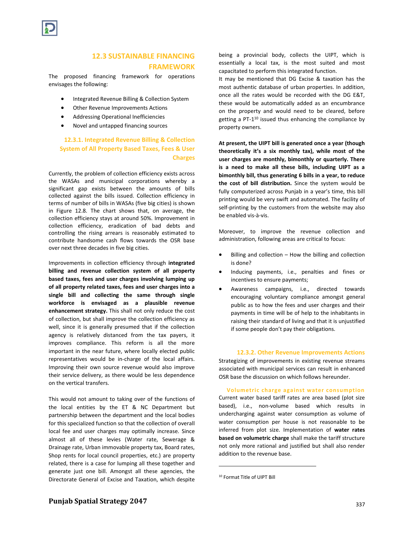

# **12.3 SUSTAINABLE FINANCING FRAMEWORK**

The proposed financing framework for operations envisages the following:

- Integrated Revenue Billing & Collection System
- Other Revenue Improvements Actions
- Addressing Operational Inefficiencies
- Novel and untapped financing sources

## **12.3.1. Integrated Revenue Billing & Collection System of All Property Based Taxes, Fees & User Charges**

Currently, the problem of collection efficiency exists across the WASAs and municipal corporations whereby a significant gap exists between the amounts of bills collected against the bills issued. Collection efficiency in terms of number of bills in WASAs (five big cities) is shown in Figure 12.8. The chart shows that, on average, the collection efficiency stays at around 50%. Improvement in collection efficiency, eradication of bad debts and controlling the rising arrears is reasonably estimated to contribute handsome cash flows towards the OSR base over next three decades in five big cities.

Improvements in collection efficiency through **integrated billing and revenue collection system of all property based taxes, fees and user charges involving lumping up of all property related taxes, fees and user charges into a single bill and collecting the same through single workforce is envisaged as a plausible revenue enhancement strategy.** This shall not only reduce the cost of collection, but shall improve the collection efficiency as well, since it is generally presumed that if the collection agency is relatively distanced from the tax payers, it improves compliance. This reform is all the more important in the near future, where locally elected public representatives would be in-charge of the local affairs. Improving their own source revenue would also improve their service delivery, as there would be less dependence on the vertical transfers.

This would not amount to taking over of the functions of the local entities by the ET & NC Department but partnership between the department and the local bodies for this specialized function so that the collection of overall local fee and user charges may optimally increase. Since almost all of these levies (Water rate, Sewerage & Drainage rate, Urban immovable property tax, Board rates, Shop rents for local council properties, etc.) are property related, there is a case for lumping all these together and generate just one bill. Amongst all these agencies, the Directorate General of Excise and Taxation, which despite

being a provincial body, collects the UIPT, which is essentially a local tax, is the most suited and most capacitated to perform this integrated function.

It may be mentioned that DG Excise & taxation has the most authentic database of urban properties. In addition, once all the rates would be recorded with the DG E&T, these would be automatically added as an encumbrance on the property and would need to be cleared, before getting a PT-1 <sup>10</sup> issued thus enhancing the compliance by property owners.

**At present, the UIPT bill is generated once a year (though theoretically it's a six monthly tax), while most of the user charges are monthly, bimonthly or quarterly. There is a need to make all these bills, including UIPT as a bimonthly bill, thus generating 6 bills in a year, to reduce the cost of bill distribution.** Since the system would be fully computerized across Punjab in a year's time, this bill printing would be very swift and automated. The facility of self-printing by the customers from the website may also be enabled vis-à-vis.

Moreover, to improve the revenue collection and administration, following areas are critical to focus:

- Billing and collection How the billing and collection is done?
- Inducing payments, i.e., penalties and fines or incentives to ensure payments;
- Awareness campaigns, i.e., directed towards encouraging voluntary compliance amongst general public as to how the fees and user charges and their payments in time will be of help to the inhabitants in raising their standard of living and that it is unjustified if some people don't pay their obligations.

**12.3.2. Other Revenue Improvements Actions** Strategizing of improvements in existing revenue streams associated with municipal services can result in enhanced OSR base the discussion on which follows hereunder.

**Volumetric charge against water consumption**  Current water based tariff rates are area based (plot size based), i.e., non-volume based which results in undercharging against water consumption as volume of water consumption per house is not reasonable to be inferred from plot size. Implementation of **water rates based on volumetric charge** shall make the tariff structure not only more rational and justified but shall also render addition to the revenue base.

 $\overline{\phantom{a}}$ 

<sup>10</sup> Format Title of UIPT Bill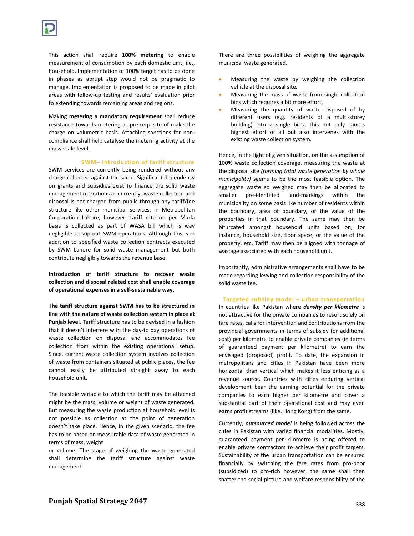This action shall require **100% metering** to enable measurement of consumption by each domestic unit, i.e., household. Implementation of 100% target has to be done in phases as abrupt step would not be pragmatic to manage. Implementation is proposed to be made in pilot areas with follow-up testing and results' evaluation prior to extending towards remaining areas and regions.

Making **metering a mandatory requirement** shall reduce resistance towards metering as pre-requisite of make the charge on volumetric basis. Attaching sanctions for noncompliance shall help catalyse the metering activity at the mass-scale level.

#### **SWM– introduction of tariff structure**

SWM services are currently being rendered without any charge collected against the same. Significant dependency on grants and subsidies exist to finance the solid waste management operations as currently, waste collection and disposal is not charged from public through any tariff/fee structure like other municipal services. In Metropolitan Corporation Lahore, however, tariff rate on per Marla basis is collected as part of WASA bill which is way negligible to support SWM operations. Although this is in addition to specified waste collection contracts executed by SWM Lahore for solid waste management but both contribute negligibly towards the revenue base.

**Introduction of tariff structure to recover waste collection and disposal related cost shall enable coverage of operational expenses in a self-sustainable way.**

**The tariff structure against SWM has to be structured in line with the nature of waste collection system in place at Punjab level.** Tariff structure has to be devised in a fashion that it doesn't interfere with the day-to day operations of waste collection on disposal and accommodates fee collection from within the existing operational setup. Since, current waste collection system involves collection of waste from containers situated at public places, the fee cannot easily be attributed straight away to each household unit.

The feasible variable to which the tariff may be attached might be the mass, volume or weight of waste generated. But measuring the waste production at household level is not possible as collection at the point of generation doesn't take place. Hence, in the given scenario, the fee has to be based on measurable data of waste generated in terms of mass, weight

or volume. The stage of weighing the waste generated shall determine the tariff structure against waste management.

There are three possibilities of weighing the aggregate municipal waste generated.

- Measuring the waste by weighing the collection vehicle at the disposal site.
- Measuring the mass of waste from single collection bins which requires a bit more effort.
- Measuring the quantity of waste disposed of by different users (e.g. residents of a multi-storey building) into a single bins. This not only causes highest effort of all but also intervenes with the existing waste collection system.

Hence, in the light of given situation, on the assumption of 100% waste collection coverage, measuring the waste at the disposal site *(forming total waste generation by whole municipality)* seems to be the most feasible option. The aggregate waste so weighed may then be allocated to smaller pre-identified land-markings within the municipality on some basis like number of residents within the boundary, area of boundary, or the value of the properties in that boundary. The same may then be bifurcated amongst household units based on, for instance, household size, floor space, or the value of the property, etc. Tariff may then be aligned with tonnage of wastage associated with each household unit.

Importantly, administrative arrangements shall have to be made regarding levying and collection responsibility of the solid waste fee.

**Targeted subsidy model – urban transportation** In countries like Pakistan where *density per kilometre* is not attractive for the private companies to resort solely on fare rates, calls for intervention and contributions from the provincial governments in terms of subsidy (or additional cost) per kilometre to enable private companies (in terms of guaranteed payment per kilometre) to earn the envisaged (proposed) profit. To date, the expansion in metropolitans and cities in Pakistan have been more horizontal than vertical which makes it less enticing as a revenue source. Countries with cities enduring vertical development bear the earning potential for the private companies to earn higher per kilometre and cover a substantial part of their operational cost and may even earns profit streams (like, Hong Kong) from the same.

Currently, *outsourced model* is being followed across the cities in Pakistan with varied financial modalities. Mostly, guaranteed payment per kilometre is being offered to enable private contractors to achieve their profit targets. Sustainability of the urban transportation can be ensured financially by switching the fare rates from pro-poor (subsidized) to pro-rich however, the same shall then shatter the social picture and welfare responsibility of the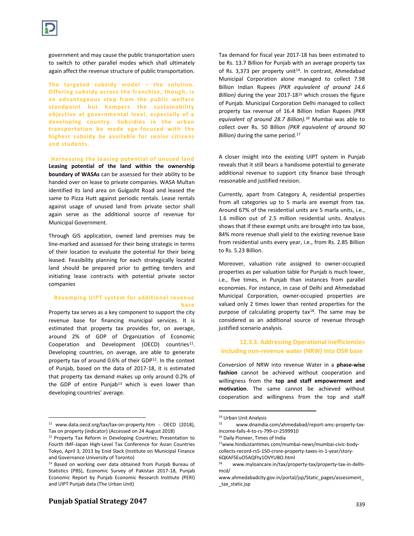

government and may cause the public transportation users to switch to other parallel modes which shall ultimately again affect the revenue structure of public transportation.

**The targeted subsidy model – the solution. Offering subsidy across the franchise, though, is an advantageous step from the public welfare standpoint but hampers the sustainability objective at governmental level, especially of a developing country. Subsidies in the urban transportation be made age-focused with the**  highest subsidy be available for senior citizens **and students.**

**Harnessing the leasing potential of unused land**

**Leasing potential of the land within the ownership boundary of WASAs** can be assessed for their ability to be handed over on lease to private companies. WASA Multan identified its land area on Gulgasht Road and leased the same to Pizza Hutt against periodic rentals. Lease rentals against usage of unused land from private sector shall again serve as the additional source of revenue for Municipal Government.

Through GIS application, owned land premises may be line-marked and assessed for their being strategic in terms of their location to evaluate the potential for their being leased. Feasibility planning for each strategically located land should be prepared prior to getting tenders and initiating lease contracts with potential private sector companies

## **Revamping UIPT system for additional revenue base**

Property tax serves as a key component to support the city revenue base for financing municipal services. It is estimated that property tax provides for, on average, around 2% of GDP of Organization of Economic Cooperation and Development (OECD) countries<sup>11</sup>. Developing countries, on average, are able to generate property tax of around 0.6% of their GDP<sup>12</sup>. In the context of Punjab, based on the data of 2017-18, it is estimated that property tax demand makes up only around 0.2% of the GDP of entire Punjab<sup>13</sup> which is even lower than developing countries' average.

 $\overline{\phantom{a}}$ 

Tax demand for fiscal year 2017-18 has been estimated to be Rs. 13.7 Billion for Punjab with an average property tax of Rs. 3,373 per property unit<sup>14</sup>. In contrast, Ahmedabad Municipal Corporation alone managed to collect 7.98 Billion Indian Rupees *(PKR equivalent of around 14.6 Billion)* during the year 2017-18<sup>15</sup> which crosses the figure of Punjab*.* Municipal Corporation Delhi managed to collect property tax revenue of 16.4 Billion Indian Rupees *(PKR equivalent of around 28.7 Billion).<sup>16</sup>* Mumbai was able to collect over Rs. 50 Billion *(PKR equivalent of around 90 Billion*) during the same period.<sup>17</sup>

A closer insight into the existing UIPT system in Punjab reveals that it still bears a handsome potential to generate additional revenue to support city finance base through reasonable and justified revision.

Currently, apart from Category A, residential properties from all categories up to 5 marla are exempt from tax. Around 67% of the residential units are 5 marla units, i.e., 1.6 million out of 2.5 million residential units. Analysis shows that if these exempt units are brought into tax base, 84% more revenue shall yield to the existing revenue base from residential units every year, i.e., from Rs. 2.85 Billion to Rs. 5.23 Billion.

Moreover, valuation rate assigned to owner-occupied properties as per valuation table for Punjab is much lower, i.e., five times, in Punjab than instances from parallel economies. For instance, in case of Delhi and Ahmedabad Municipal Corporation, owner-occupied properties are valued only 2 times lower than rented properties for the purpose of calculating property tax<sup>18</sup>. The same may be considered as an additional source of revenue through justified scenario analysis.

## **12.3.3. Addressing Operational Inefficiencies including non-revenue water (NRW) into OSR base**

Conversion of NRW into revenue Water in a **phase-wise fashion** cannot be achieved without cooperation and willingness from the **top and staff empowerment and motivation**. The same cannot be achieved without cooperation and willingness from the top and staff

 $\overline{\phantom{a}}$ 

<sup>11</sup> www.data.oecd.org/tax/tax-on-property.htm - OECD (2018), Tax on property (indicator) (Accessed on 24 August 2018)

<sup>&</sup>lt;sup>12</sup> Property Tax Reform in Developing Countries; Presentation to Fourth IMF-Japan High-Level Tax Conference for Asian Countries Tokyo, April 3, 2013 by Enid Slack (Institute on Municipal Finance and Governance University of Toronto)

<sup>&</sup>lt;sup>13</sup> Based on working over data obtained from Punjab Bureau of Statistics (PBS), Economic Survey of Pakistan 2017-18, Punjab Economic Report by Punjab Economic Research Institute (PERI) and UIPT Punjab data (The Urban Unit)

 $14$  Urban Unit Analysis

www.dnaindia.com/ahmedabad/report-amc-property-taxincome-falls-4-to-rs-799-cr-2599910

<sup>16</sup> Daily Pioneer, Times of India

<sup>17</sup>www.hindustantimes.com/mumbai-news/mumbai-civic-bodycollects-record-rs5-150-crore-property-taxes-in-1-year/story-6QKAFSEuO5AQFty1OVYUBO.html

<sup>18</sup> www.myloancare.in/tax/property-tax/property-tax-in-delhimcd/

www.ahmedabadcity.gov.in/portal/jsp/Static\_pages/assessment\_ \_tax\_static.jsp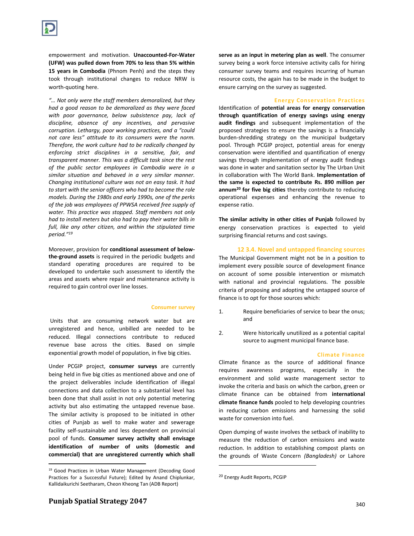empowerment and motivation. **Unaccounted-For-Water (UFW) was pulled down from 70% to less than 5% within 15 years in Combodia** (Phnom Penh) and the steps they took through institutional changes to reduce NRW is worth-quoting here.

*"… Not only were the staff members demoralized, but they had a good reason to be demoralized as they were faced with poor governance, below subsistence pay, lack of discipline, absence of any incentives, and pervasive corruption. Lethargy, poor working practices, and a "could not care less" attitude to its consumers were the norm. Therefore, the work culture had to be radically changed by enforcing strict disciplines in a sensitive, fair, and transparent manner. This was a difficult task since the rest of the public sector employees in Cambodia were in a similar situation and behaved in a very similar manner. Changing institutional culture was not an easy task. It had to start with the senior officers who had to become the role models. During the 1980s and early 1990s, one of the perks of the job was employees of PPWSA received free supply of water. This practice was stopped. Staff members not only had to install meters but also had to pay their water bills in full, like any other citizen, and within the stipulated time period."<sup>19</sup>*

Moreover, provision for **conditional assessment of belowthe-ground assets** is required in the periodic budgets and standard operating procedures are required to be developed to undertake such assessment to identify the areas and assets where repair and maintenance activity is required to gain control over line losses.

#### **Consumer survey**

Units that are consuming network water but are unregistered and hence, unbilled are needed to be reduced. Illegal connections contribute to reduced revenue base across the cities. Based on simple exponential growth model of population, in five big cities.

Under PCGIP project, **consumer surveys** are currently being held in five big cities as mentioned above and one of the project deliverables include identification of illegal connections and data collection to a substantial level has been done that shall assist in not only potential metering activity but also estimating the untapped revenue base. The similar activity is proposed to be initiated in other cities of Punjab as well to make water and sewerage facility self-sustainable and less dependent on provincial pool of funds. **Consumer survey activity shall envisage identification of number of units (domestic and commercial) that are unregistered currently which shall** 

**serve as an input in metering plan as well**. The consumer survey being a work force intensive activity calls for hiring consumer survey teams and requires incurring of human resource costs, the again has to be made in the budget to ensure carrying on the survey as suggested.

#### **Energy Conservation Practices**

Identification of **potential areas for energy conservation through quantification of energy savings using energy audit findings** and subsequent implementation of the proposed strategies to ensure the savings is a financially burden-shredding strategy on the municipal budgetary pool. Through PCGIP project, potential areas for energy conservation were identified and quantification of energy savings through implementation of energy audit findings was done in water and sanitation sector by The Urban Unit in collaboration with The World Bank. **Implementation of the same is expected to contribute Rs. 890 million per annum<sup>20</sup> for five big cities** thereby contribute to reducing operational expenses and enhancing the revenue to expense ratio.

**The similar activity in other cities of Punjab** followed by energy conservation practices is expected to yield surprising financial returns and cost savings.

## **12 3.4. Novel and untapped financing sources**

The Municipal Government might not be in a position to implement every possible source of development finance on account of some possible intervention or mismatch with national and provincial regulations. The possible criteria of proposing and adopting the untapped source of finance is to opt for those sources which:

- 1. Require beneficiaries of service to bear the onus; and
- 2. Were historically unutilized as a potential capital source to augment municipal finance base.

#### **Climate Finance**

Climate finance as the source of additional finance requires awareness programs, especially in the environment and solid waste management sector to invoke the criteria and basis on which the carbon, green or climate finance can be obtained from **international climate finance funds** pooled to help developing countries in reducing carbon emissions and harnessing the solid waste for conversion into fuel.

Open dumping of waste involves the setback of inability to measure the reduction of carbon emissions and waste reduction. In addition to establishing compost plants on the grounds of Waste Concern *(Bangladesh)* or Lahore

l

 $\overline{a}$ 

<sup>19</sup> Good Practices in Urban Water Management (Decoding Good Practices for a Successful Future); Edited by Anand Chiplunkar, Kallidaikurichi Seetharam, Cheon Kheong Tan (ADB Report)

<sup>20</sup> Energy Audit Reports, PCGIP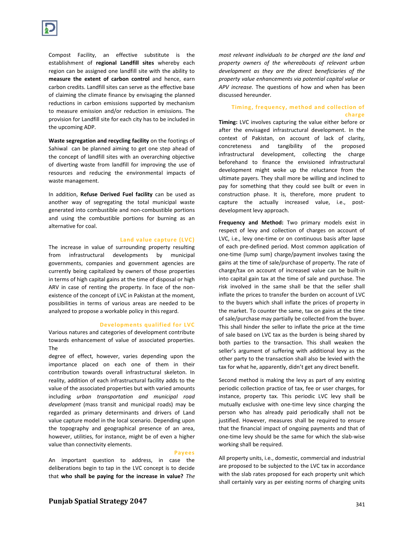Compost Facility, an effective substitute is the establishment of **regional Landfill sites** whereby each region can be assigned one landfill site with the ability to **measure the extent of carbon control** and hence, earn carbon credits. Landfill sites can serve as the effective base of claiming the climate finance by envisaging the planned reductions in carbon emissions supported by mechanism to measure emission and/or reduction in emissions. The provision for Landfill site for each city has to be included in the upcoming ADP.

**Waste segregation and recycling facility** on the footings of Sahiwal can be planned aiming to get one step ahead of the concept of landfill sites with an overarching objective of diverting waste from landfill for improving the use of resources and reducing the environmental impacts of waste management.

In addition, **Refuse Derived Fuel facility** can be used as another way of segregating the total municipal waste generated into combustible and non-combustible portions and using the combustible portions for burning as an alternative for coal.

#### **Land value capture (LVC)**

The increase in value of surrounding property resulting from infrastructural developments by municipal governments, companies and government agencies are currently being capitalized by owners of those properties in terms of high capital gains at the time of disposal or high ARV in case of renting the property. In face of the nonexistence of the concept of LVC in Pakistan at the moment, possibilities in terms of various areas are needed to be analyzed to propose a workable policy in this regard.

#### **Developments qualified for LVC**

Various natures and categories of development contribute towards enhancement of value of associated properties. The

degree of effect, however, varies depending upon the importance placed on each one of them in their contribution towards overall infrastructural skeleton. In reality, addition of each infrastructural facility adds to the value of the associated properties but with varied amounts including *urban transportation and municipal road development* (mass transit and municipal roads) may be regarded as primary determinants and drivers of Land value capture model in the local scenario. Depending upon the topography and geographical presence of an area, however, utilities, for instance, might be of even a higher value than connectivity elements.

#### **Payees**

An important question to address, in case the deliberations begin to tap in the LVC concept is to decide that **who shall be paying for the increase in value?** *The* 

*most relevant individuals to be charged are the land and property owners of the whereabouts of relevant urban development as they are the direct beneficiaries of the property value enhancements via potential capital value or APV increase.* The questions of how and when has been discussed hereunder.

## **Timing, frequency, method and collection of charge**

**Timing:** LVC involves capturing the value either before or after the envisaged infrastructural development. In the context of Pakistan, on account of lack of clarity, concreteness and tangibility of the proposed infrastructural development, collecting the charge beforehand to finance the envisioned infrastructural development might woke up the reluctance from the ultimate payers. They shall more be willing and inclined to pay for something that they could see built or even in construction phase. It is, therefore, more prudent to capture the actually increased value, i.e., postdevelopment levy approach.

**Frequency and Method:** Two primary models exist in respect of levy and collection of charges on account of LVC, i.e., levy one-time or on continuous basis after lapse of each pre-defined period. Most common application of one-time (lump sum) charge/payment involves taxing the gains at the time of sale/purchase of property. The rate of charge/tax on account of increased value can be built-in into capital gain tax at the time of sale and purchase. The risk involved in the same shall be that the seller shall inflate the prices to transfer the burden on account of LVC to the buyers which shall inflate the prices of property in the market. To counter the same, tax on gains at the time of sale/purchase may partially be collected from the buyer. This shall hinder the seller to inflate the price at the time of sale based on LVC tax as the burden is being shared by both parties to the transaction. This shall weaken the seller's argument of suffering with additional levy as the other party to the transaction shall also be levied with the tax for what he, apparently, didn't get any direct benefit.

Second method is making the levy as part of any existing periodic collection practice of tax, fee or user charges, for instance, property tax. This periodic LVC levy shall be mutually exclusive with one-time levy since charging the person who has already paid periodically shall not be justified. However, measures shall be required to ensure that the financial impact of ongoing payments and that of one-time levy should be the same for which the slab-wise working shall be required.

All property units, i.e., domestic, commercial and industrial are proposed to be subjected to the LVC tax in accordance with the slab rates proposed for each property unit which shall certainly vary as per existing norms of charging units